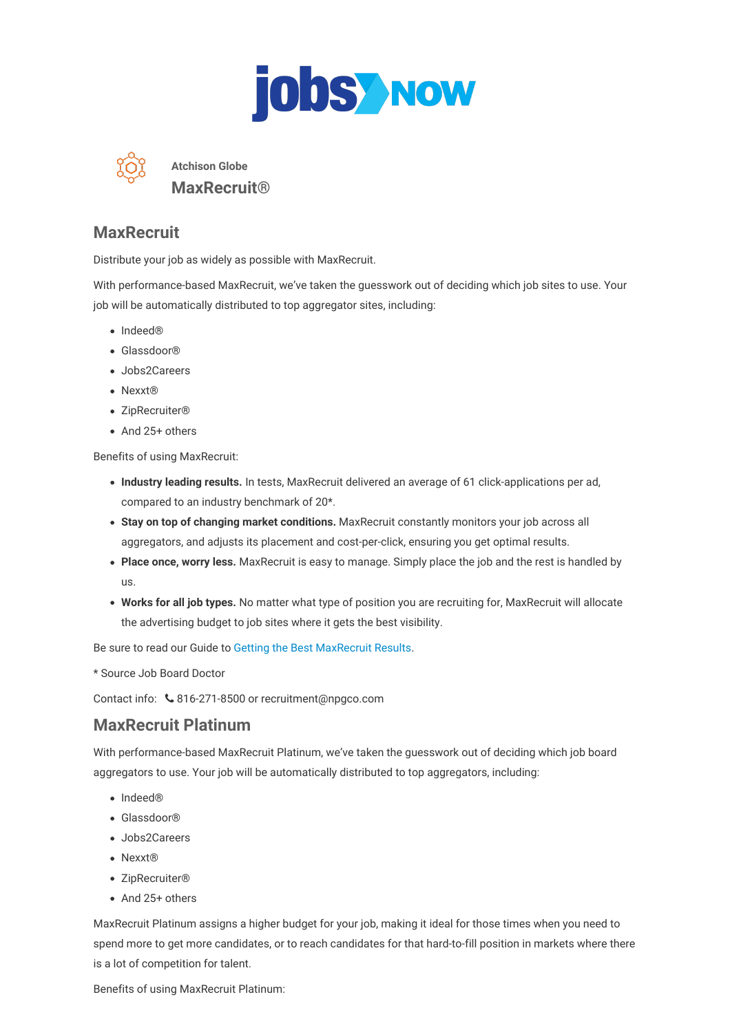



**Atchison Globe MaxRecruit®**

### **MaxRecruit**

Distribute your job as widely as possible with MaxRecruit.

With performance-based MaxRecruit, we've taken the guesswork out of deciding which job sites to use. Your job will be automatically distributed to top aggregator sites, including:

- Indeed®
- Glassdoor®
- Jobs2Careers
- Nexxt<sup>®</sup>
- ZipRecruiter®
- And 25+ others

Benefits of using MaxRecruit:

- **Industry leading results.** In tests, MaxRecruit delivered an average of 61 click-applications per ad, compared to an industry benchmark of 20\*.
- **Stay on top of changing market conditions.** MaxRecruit constantly monitors your job across all aggregators, and adjusts its placement and cost-per-click, ensuring you get optimal results.
- **Place once, worry less.** MaxRecruit is easy to manage. Simply place the job and the rest is handled by us.
- **Works for all job types.** No matter what type of position you are recruiting for, MaxRecruit will allocate the advertising budget to job sites where it gets the best visibility.

Be sure to read our Guide to Getting the Best [MaxRecruit](https://atchison.newspressmediagroup.com/recruitmentproducts/npg-atchison/maxrecruit/pdf?host_domain=atchison.newspressmediagroup.com&page=maxrecruit-guide) Results.

\* Source Job Board Doctor

Contact info: 816-271-8500 or recruitment@npgco.com

### **MaxRecruit Platinum**

With performance-based MaxRecruit Platinum, we've taken the guesswork out of deciding which job board aggregators to use. Your job will be automatically distributed to top aggregators, including:

- Indeed®
- Glassdoor®
- Jobs2Careers
- Nexxt®
- ZipRecruiter®
- And 25+ others

MaxRecruit Platinum assigns a higher budget for your job, making it ideal for those times when you need to spend more to get more candidates, or to reach candidates for that hard-to-fill position in markets where there is a lot of competition for talent.

Benefits of using MaxRecruit Platinum: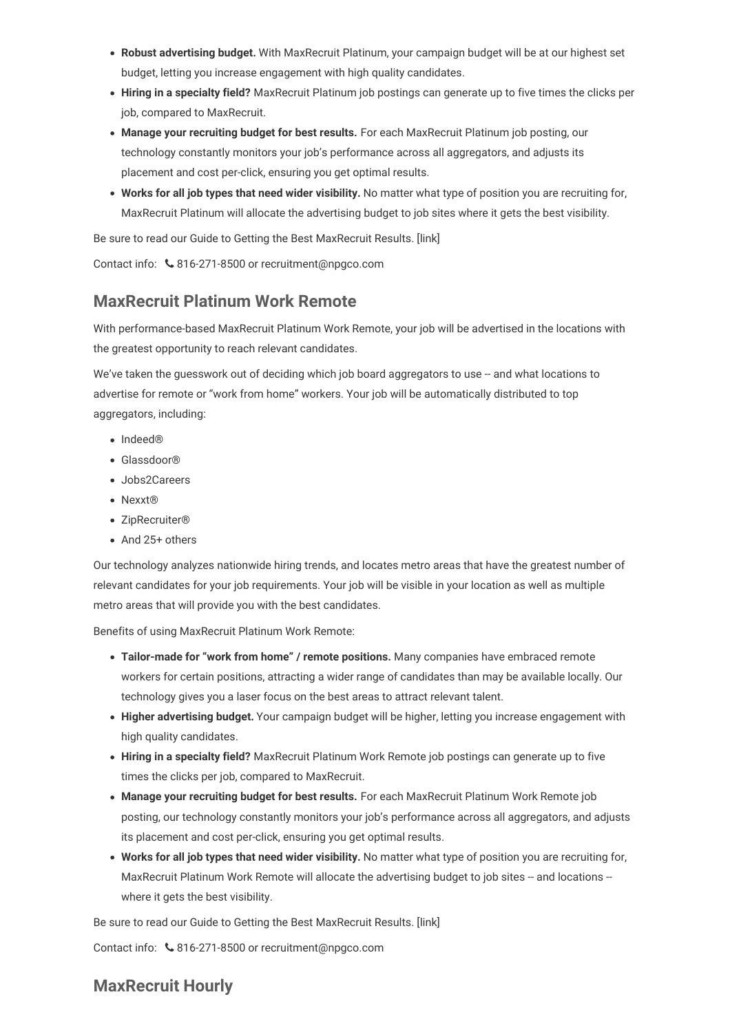- **Robust advertising budget.** With MaxRecruit Platinum, your campaign budget will be at our highest set budget, letting you increase engagement with high quality candidates.
- **Hiring in a specialty field?** MaxRecruit Platinum job postings can generate up to five times the clicks per job, compared to MaxRecruit.
- **Manage your recruiting budget for best results.** For each MaxRecruit Platinum job posting, our technology constantly monitors your job's performance across all aggregators, and adjusts its placement and cost per-click, ensuring you get optimal results.
- **Works for all job types that need wider visibility.** No matter what type of position you are recruiting for, MaxRecruit Platinum will allocate the advertising budget to job sites where it gets the best visibility.

Be sure to read our Guide to Getting the Best MaxRecruit Results. [link]

Contact info:  $\&$  816-271-8500 or recruitment@npgco.com

## **MaxRecruit Platinum Work Remote**

With performance-based MaxRecruit Platinum Work Remote, your job will be advertised in the locations with the greatest opportunity to reach relevant candidates.

We've taken the guesswork out of deciding which job board aggregators to use -- and what locations to advertise for remote or "work from home" workers. Your job will be automatically distributed to top aggregators, including:

- Indeed®
- Glassdoor®
- Jobs2Careers
- Nexxt<sup>®</sup>
- ZipRecruiter®
- And 25+ others

Our technology analyzes nationwide hiring trends, and locates metro areas that have the greatest number of relevant candidates for your job requirements. Your job will be visible in your location as well as multiple metro areas that will provide you with the best candidates.

Benefits of using MaxRecruit Platinum Work Remote:

- **Tailor-made for "work from home" / remote positions.** Many companies have embraced remote workers for certain positions, attracting a wider range of candidates than may be available locally. Our technology gives you a laser focus on the best areas to attract relevant talent.
- **Higher advertising budget.** Your campaign budget will be higher, letting you increase engagement with high quality candidates.
- **Hiring in a specialty field?** MaxRecruit Platinum Work Remote job postings can generate up to five times the clicks per job, compared to MaxRecruit.
- **Manage your recruiting budget for best results.** For each MaxRecruit Platinum Work Remote job posting, our technology constantly monitors your job's performance across all aggregators, and adjusts its placement and cost per-click, ensuring you get optimal results.
- **Works for all job types that need wider visibility.** No matter what type of position you are recruiting for, MaxRecruit Platinum Work Remote will allocate the advertising budget to job sites -- and locations -where it gets the best visibility.

Be sure to read our Guide to Getting the Best MaxRecruit Results. [link]

Contact info:  $\&$  816-271-8500 or recruitment@npgco.com

# **MaxRecruit Hourly**